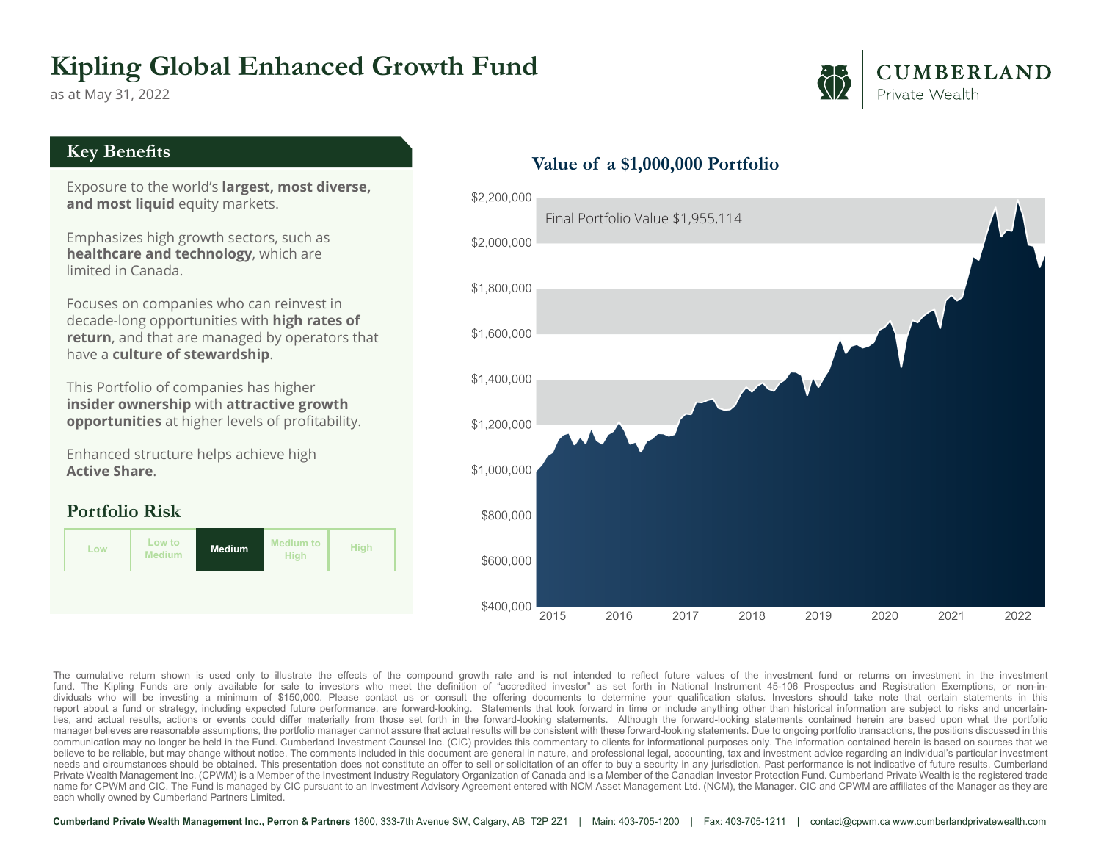## **Kipling Global Enhanced Growth Fund**

as at May 31, 2022

## CUMBERLAND Private Wealth

#### **Key Benefits**

Exposure to the world's **largest, most diverse, and most liquid** equity markets.

Emphasizes high growth sectors, such as **healthcare and technology**, which are limited in Canada.

Focuses on companies who can reinvest in decade-long opportunities with **high rates of return**, and that are managed by operators that have a **culture of stewardship**.

This Portfolio of companies has higher **insider ownership** with **attractive growth opportunities** at higher levels of profitability.

Enhanced structure helps achieve high **Active Share**.

### **Portfolio Risk**



#### **Value of a \$1,000,000 Portfolio**



The cumulative return shown is used only to illustrate the effects of the compound growth rate and is not intended to reflect future values of the investment fund or returns on investment in the investment in the investmen dividuals who will be investing a minimum of \$150,000. Please contact us or consult the offering documents to determine your qualification status. Investors should take note that certain statements in this report about a f ties, and actual results, actions or events could differ materially from those set forth in the forward-looking statements. Although the forward-looking statements contained herein are based upon what the portfolio manager believes are reasonable assumptions, the portfolio manager cannot assure that actual results will be consistent with these forward-looking statements. Due to ongoing portfolio transactions, the positions discussed communication may no longer be held in the Fund. Cumberland Investment Counsel Inc. (CIC) provides this commentary to clients for informational purposes only. The information contained herein is based on sources that we believe to be reliable, but may change without notice. The comments included in this document are general in nature, and professional legal, accounting, tax and investment advice regarding an individual's particular invest needs and circumstances should be obtained. This presentation does not constitute an offer to sell or solicitation of an offer to buy a security in any jurisdiction. Past performance is not indicative of future results. Cu Private Wealth Management Inc. (CPWM) is a Member of the Investment Industry Regulatory Organization of Canada and is a Member of the Canadian Investor Protection Fund. Cumberland Private Wealth is the registered trade name for CPWM and CIC. The Fund is managed by CIC pursuant to an Investment Advisory Agreement entered with NCM Asset Management Ltd. (NCM), the Manager. CIC and CPWM are affiliates of the Manager as they are each wholly owned by Cumberland Partners Limited.